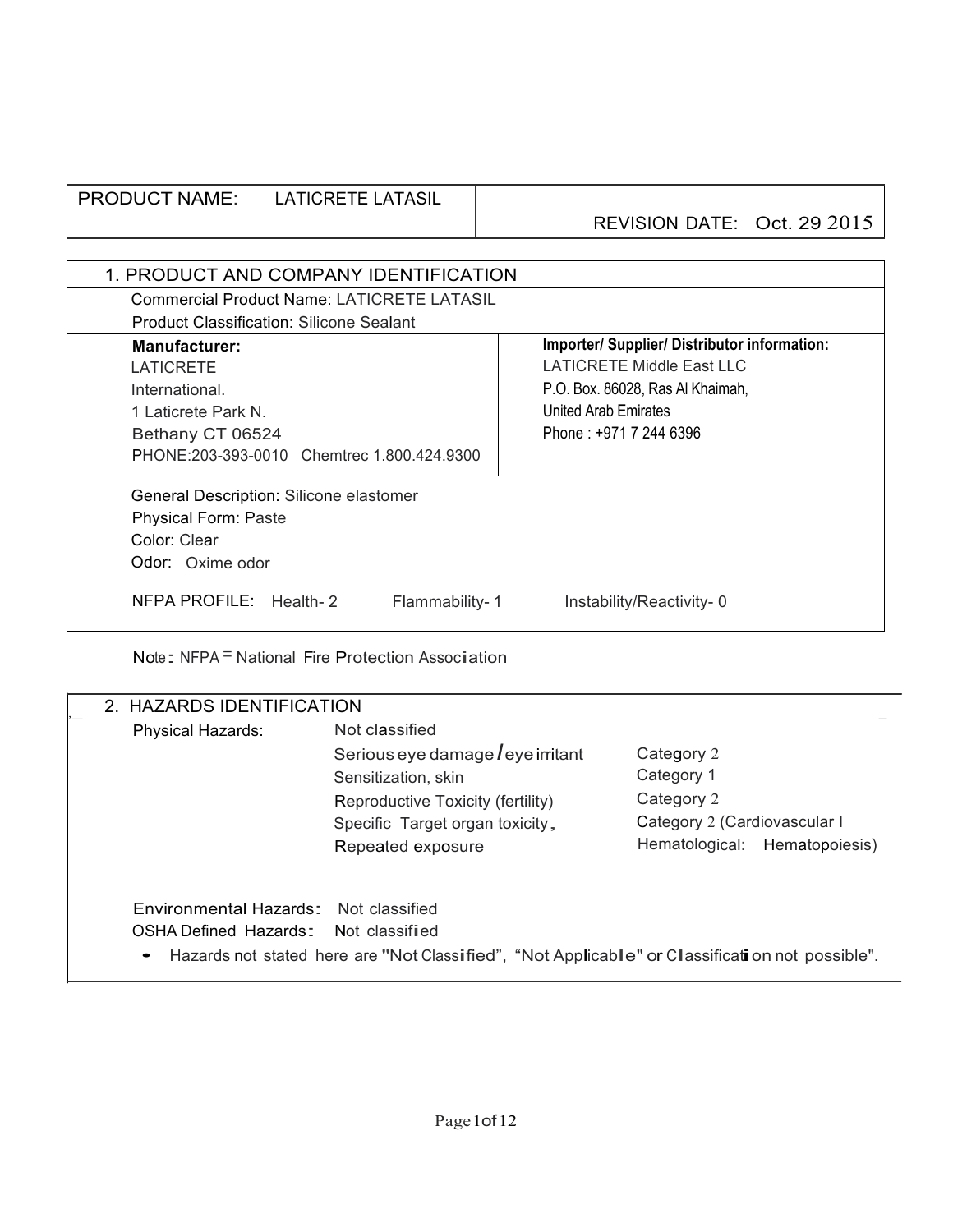#### PRODUCT NAME: LATICRETE LATASIL REVISION DATE: Oct. 29 2015

| 1. PRODUCT AND COMPANY IDENTIFICATION             |                                                     |
|---------------------------------------------------|-----------------------------------------------------|
| <b>Commercial Product Name: LATICRETE LATASIL</b> |                                                     |
| <b>Product Classification: Silicone Sealant</b>   |                                                     |
| <b>Manufacturer:</b>                              | <b>Importer/ Supplier/ Distributor information:</b> |
| LATICRETE                                         | LATICRETE Middle East LLC                           |
| International.                                    | P.O. Box. 86028, Ras Al Khaimah,                    |
| United Arab Emirates<br>1 Laticrete Park N.       |                                                     |
| Phone: $+97172446396$<br>Bethany CT 06524         |                                                     |
| PHONE:203-393-0010 Chemtrec 1.800.424.9300        |                                                     |
| General Description: Silicone elastomer           |                                                     |
| <b>Physical Form: Paste</b>                       |                                                     |
| Color: Clear                                      |                                                     |
| Odor: Oxime odor                                  |                                                     |
| NFPA PROFILE: Health-2<br>Flammability-1          | Instability/Reactivity-0                            |

Note: NFPA<sup>=</sup> National Fire Protection Association

| 2. HAZARDS IDENTIFICATION                                                     |                                                                                                                                                                           |                                                                                                         |
|-------------------------------------------------------------------------------|---------------------------------------------------------------------------------------------------------------------------------------------------------------------------|---------------------------------------------------------------------------------------------------------|
| <b>Physical Hazards:</b>                                                      | Not classified<br>Serious eye damage $l$ eye irritant<br>Sensitization, skin<br>Reproductive Toxicity (fertility)<br>Specific Target organ toxicity,<br>Repeated exposure | Category 2<br>Category 1<br>Category 2<br>Category 2 (Cardiovascular I<br>Hematological: Hematopoiesis) |
| Environmental Hazards: Not classified<br>OSHA Defined Hazards: Not classified | Hazards not stated here are "Not Classified", "Not Applicable" or Classification not possible".                                                                           |                                                                                                         |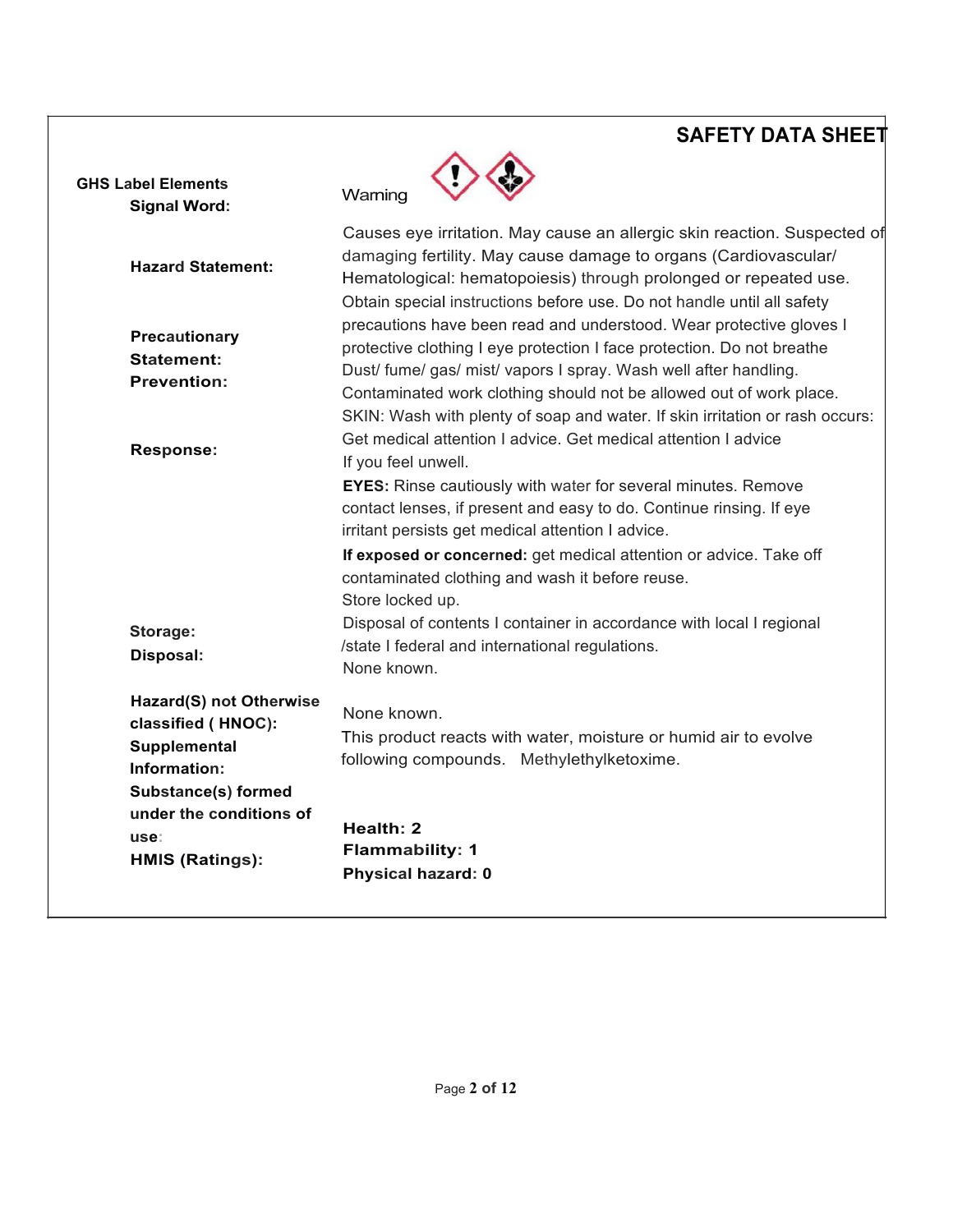| <b>GHS Label Elements</b><br><b>Signal Word:</b>                                                     | Warning                                                                                                                                                                                                                                                                                                                                                            |
|------------------------------------------------------------------------------------------------------|--------------------------------------------------------------------------------------------------------------------------------------------------------------------------------------------------------------------------------------------------------------------------------------------------------------------------------------------------------------------|
| <b>Hazard Statement:</b>                                                                             | Causes eye irritation. May cause an allergic skin reaction. Suspected of<br>damaging fertility. May cause damage to organs (Cardiovascular/<br>Hematological: hematopoiesis) through prolonged or repeated use.                                                                                                                                                    |
| Precautionary<br><b>Statement:</b><br><b>Prevention:</b>                                             | Obtain special instructions before use. Do not handle until all safety<br>precautions have been read and understood. Wear protective gloves I<br>protective clothing I eye protection I face protection. Do not breathe<br>Dust/ fume/ gas/ mist/ vapors I spray. Wash well after handling.<br>Contaminated work clothing should not be allowed out of work place. |
| Response:                                                                                            | SKIN: Wash with plenty of soap and water. If skin irritation or rash occurs:<br>Get medical attention I advice. Get medical attention I advice<br>If you feel unwell.<br><b>EYES:</b> Rinse cautiously with water for several minutes. Remove                                                                                                                      |
|                                                                                                      | contact lenses, if present and easy to do. Continue rinsing. If eye<br>irritant persists get medical attention I advice.                                                                                                                                                                                                                                           |
|                                                                                                      | If exposed or concerned: get medical attention or advice. Take off<br>contaminated clothing and wash it before reuse.<br>Store locked up.                                                                                                                                                                                                                          |
| Storage:<br>Disposal:                                                                                | Disposal of contents I container in accordance with local I regional<br>/state I federal and international regulations.<br>None known.                                                                                                                                                                                                                             |
| Hazard(S) not Otherwise<br>classified (HNOC):<br>Supplemental<br>Information:<br>Substance(s) formed | None known.<br>This product reacts with water, moisture or humid air to evolve<br>following compounds. Methylethylketoxime.                                                                                                                                                                                                                                        |
| under the conditions of<br>use:<br><b>HMIS (Ratings):</b>                                            | Health: 2<br><b>Flammability: 1</b><br><b>Physical hazard: 0</b>                                                                                                                                                                                                                                                                                                   |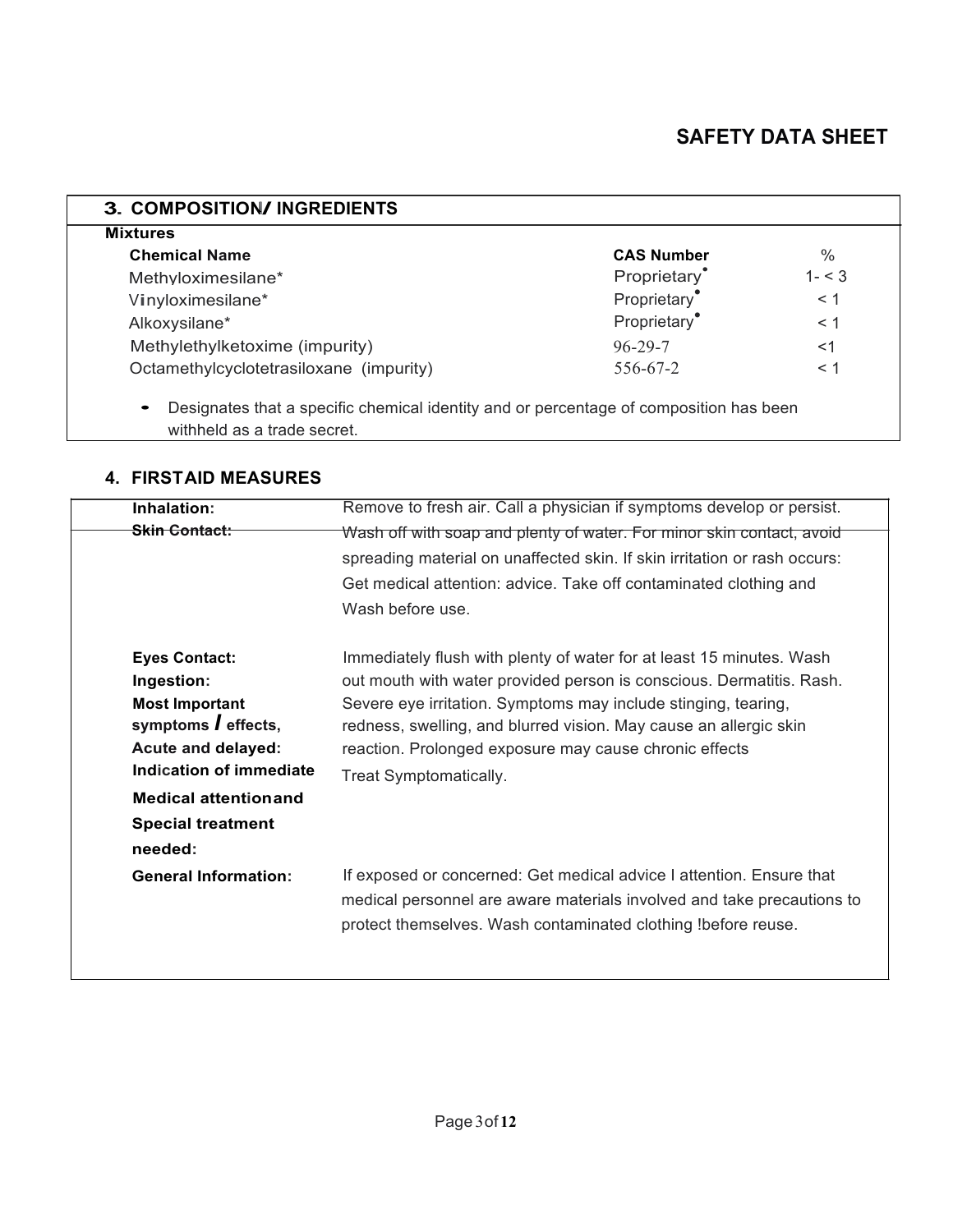| <b>Mixtures</b>                         |                          |          |
|-----------------------------------------|--------------------------|----------|
| <b>Chemical Name</b>                    | <b>CAS Number</b>        | $\%$     |
| Methyloximesilane*                      | Proprietary <sup>*</sup> | $1 - 3$  |
| Vinyloximesilane*                       | Proprietary              | < 1      |
| Alkoxysilane*                           | Proprietary <sup>®</sup> | $<$ 1    |
| Methylethylketoxime (impurity)          | $96 - 29 - 7$            | $<$ 1    |
| Octamethylcyclotetrasiloxane (impurity) | 556-67-2                 | $\leq 1$ |

• Designates that a specific chemical identity and or percentage of composition has been withheld as a trade secret.

#### **4. FIRSTAID MEASURES**

| Inhalation:                                                                                                                                                                                                      | Remove to fresh air. Call a physician if symptoms develop or persist.                                                                                                                                                                                                                                                                                                   |
|------------------------------------------------------------------------------------------------------------------------------------------------------------------------------------------------------------------|-------------------------------------------------------------------------------------------------------------------------------------------------------------------------------------------------------------------------------------------------------------------------------------------------------------------------------------------------------------------------|
| <del>Skin Contact:</del>                                                                                                                                                                                         | Wash off with soap and plenty of water. For minor skin contact, avoid<br>spreading material on unaffected skin. If skin irritation or rash occurs:<br>Get medical attention: advice. Take off contaminated clothing and<br>Wash before use.                                                                                                                             |
| <b>Eyes Contact:</b><br>Ingestion:<br><b>Most Important</b><br>symptoms <i>l</i> effects,<br>Acute and delayed:<br>Indication of immediate<br><b>Medical attentionand</b><br><b>Special treatment</b><br>needed: | Immediately flush with plenty of water for at least 15 minutes. Wash<br>out mouth with water provided person is conscious. Dermatitis. Rash.<br>Severe eye irritation. Symptoms may include stinging, tearing,<br>redness, swelling, and blurred vision. May cause an allergic skin<br>reaction. Prolonged exposure may cause chronic effects<br>Treat Symptomatically. |
| <b>General Information:</b>                                                                                                                                                                                      | If exposed or concerned: Get medical advice I attention. Ensure that<br>medical personnel are aware materials involved and take precautions to<br>protect themselves. Wash contaminated clothing !before reuse.                                                                                                                                                         |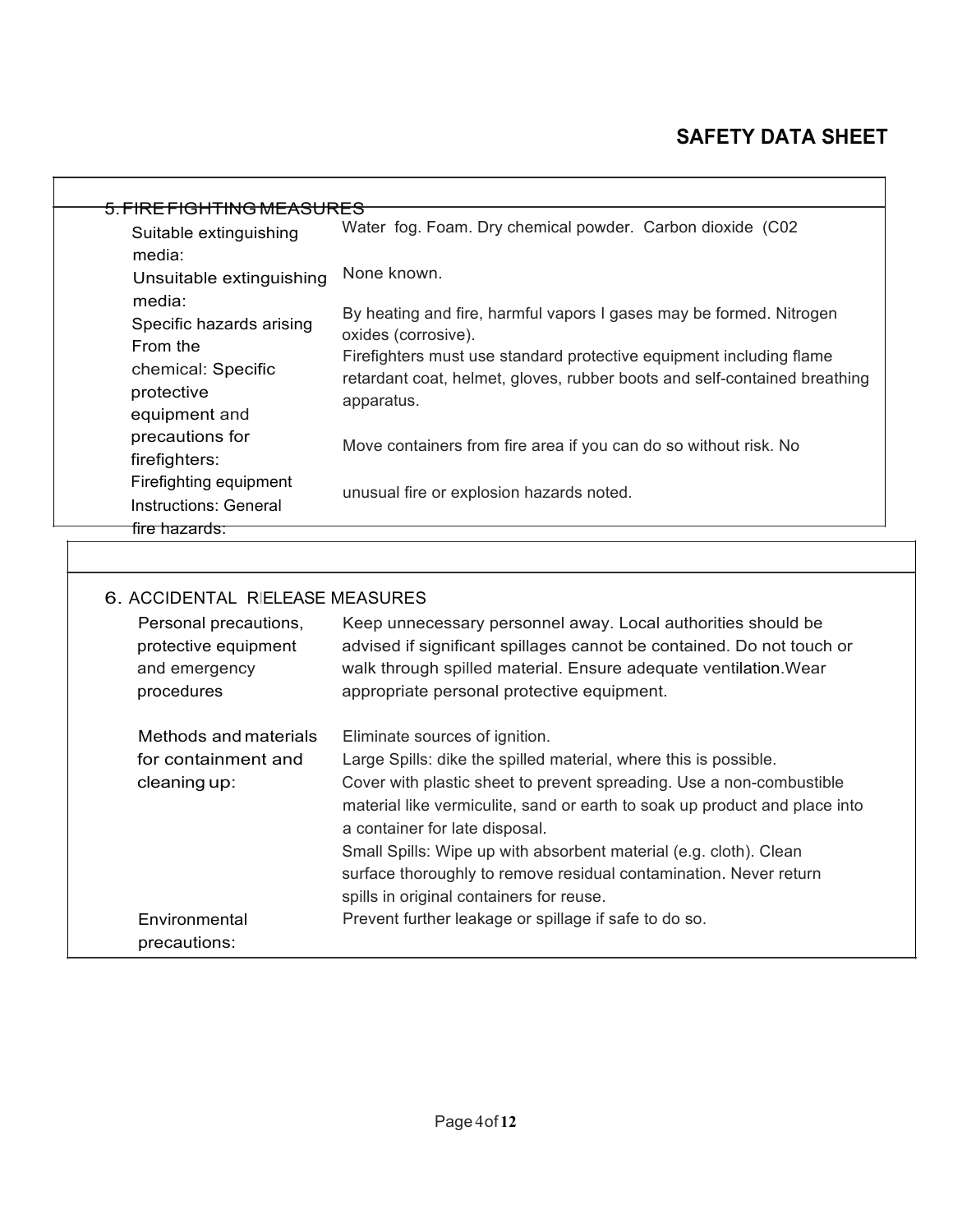| Suitable extinguishing                                                       | <u>5. FIRE FIGHTING MEASURES</u><br>Water fog. Foam. Dry chemical powder. Carbon dioxide (C02                                                                                                                                                           |
|------------------------------------------------------------------------------|---------------------------------------------------------------------------------------------------------------------------------------------------------------------------------------------------------------------------------------------------------|
| media:<br>Unsuitable extinguishing                                           | None known.                                                                                                                                                                                                                                             |
| media:<br>Specific hazards arising<br>From the                               | By heating and fire, harmful vapors I gases may be formed. Nitrogen<br>oxides (corrosive).                                                                                                                                                              |
| chemical: Specific<br>protective<br>equipment and                            | Firefighters must use standard protective equipment including flame<br>retardant coat, helmet, gloves, rubber boots and self-contained breathing<br>apparatus.                                                                                          |
| precautions for<br>firefighters:                                             | Move containers from fire area if you can do so without risk. No                                                                                                                                                                                        |
| Firefighting equipment<br><b>Instructions: General</b>                       | unusual fire or explosion hazards noted.                                                                                                                                                                                                                |
| fire hazards.                                                                |                                                                                                                                                                                                                                                         |
| 6. ACCIDENTAL RIELEASE MEASURES                                              |                                                                                                                                                                                                                                                         |
| Personal precautions,<br>protective equipment<br>and emergency<br>procedures | Keep unnecessary personnel away. Local authorities should be<br>advised if significant spillages cannot be contained. Do not touch or<br>walk through spilled material. Ensure adequate ventilation. Wear<br>appropriate personal protective equipment. |
|                                                                              |                                                                                                                                                                                                                                                         |

Large Spills: dike the spilled material, where this is possible.

Small Spills: Wipe up with absorbent material (e.g. cloth). Clean surface thoroughly to remove residual contamination. Never return

Cover with plastic sheet to prevent spreading. Use a non-combustible material like vermiculite, sand or earth to soak up product and place into

for containment and

cleaning up:

Environmental precautions:

a container for late disposal.

spills in original containers for reuse.

Prevent further leakage or spillage if safe to do so.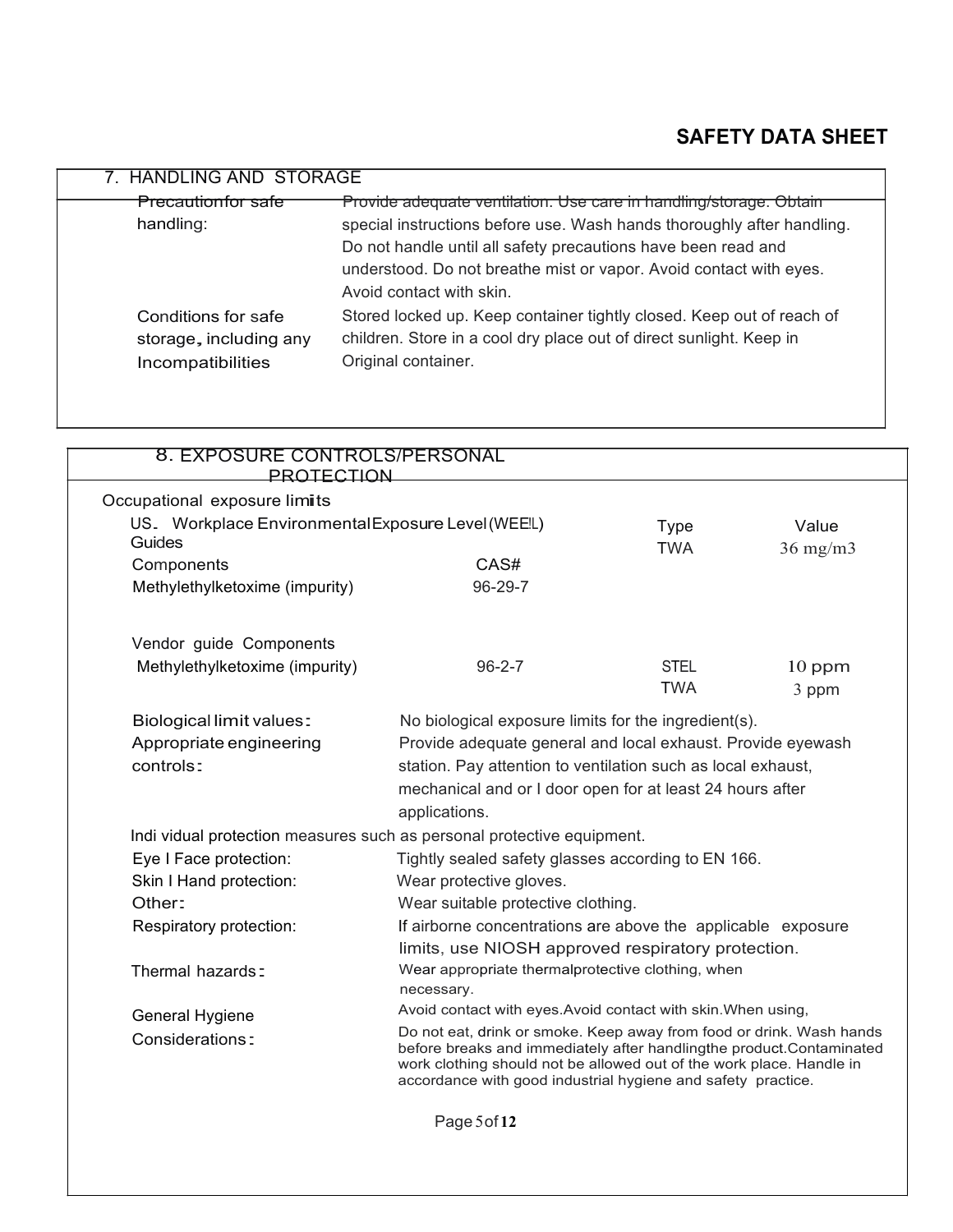| 7. HANDLING AND STORAGE                                            |                                                                                                                                                                     |
|--------------------------------------------------------------------|---------------------------------------------------------------------------------------------------------------------------------------------------------------------|
| <b>Precautionfor safe</b>                                          | Provide adequate ventilation. Use care in handling/storage. Obtain                                                                                                  |
| handling:                                                          | special instructions before use. Wash hands thoroughly after handling.                                                                                              |
|                                                                    | Do not handle until all safety precautions have been read and                                                                                                       |
|                                                                    | understood. Do not breathe mist or vapor. Avoid contact with eyes.                                                                                                  |
|                                                                    | Avoid contact with skin.                                                                                                                                            |
| Conditions for safe<br>storage, including any<br>Incompatibilities | Stored locked up. Keep container tightly closed. Keep out of reach of<br>children. Store in a cool dry place out of direct sunlight. Keep in<br>Original container. |

| 8. EXPOSURE CONTROLS/PERSONAL<br><b>PROTECTION</b>                                                                                                                                                                                                                                                      |                                                               |                           |                        |
|---------------------------------------------------------------------------------------------------------------------------------------------------------------------------------------------------------------------------------------------------------------------------------------------------------|---------------------------------------------------------------|---------------------------|------------------------|
| Occupational exposure limits                                                                                                                                                                                                                                                                            |                                                               |                           |                        |
| US. Workplace Environmental Exposure Level (WEE!L)<br>Guides                                                                                                                                                                                                                                            |                                                               | <b>Type</b><br><b>TWA</b> | Value<br>$36$ mg/m $3$ |
| Components                                                                                                                                                                                                                                                                                              | CAS#                                                          |                           |                        |
| Methylethylketoxime (impurity)                                                                                                                                                                                                                                                                          | $96 - 29 - 7$                                                 |                           |                        |
| Vendor guide Components                                                                                                                                                                                                                                                                                 |                                                               |                           |                        |
| Methylethylketoxime (impurity)                                                                                                                                                                                                                                                                          | $96 - 2 - 7$                                                  | <b>STEL</b>               | $10$ ppm               |
|                                                                                                                                                                                                                                                                                                         |                                                               | <b>TWA</b>                | 3 ppm                  |
| <b>Biological limit values:</b>                                                                                                                                                                                                                                                                         | No biological exposure limits for the ingredient(s).          |                           |                        |
| Appropriate engineering                                                                                                                                                                                                                                                                                 | Provide adequate general and local exhaust. Provide eyewash   |                           |                        |
| controls:                                                                                                                                                                                                                                                                                               | station. Pay attention to ventilation such as local exhaust,  |                           |                        |
|                                                                                                                                                                                                                                                                                                         | mechanical and or I door open for at least 24 hours after     |                           |                        |
|                                                                                                                                                                                                                                                                                                         | applications.                                                 |                           |                        |
| Indi vidual protection measures such as personal protective equipment.                                                                                                                                                                                                                                  |                                                               |                           |                        |
| Eye I Face protection:                                                                                                                                                                                                                                                                                  | Tightly sealed safety glasses according to EN 166.            |                           |                        |
| Skin I Hand protection:                                                                                                                                                                                                                                                                                 | Wear protective gloves.                                       |                           |                        |
| Other:                                                                                                                                                                                                                                                                                                  | Wear suitable protective clothing.                            |                           |                        |
| Respiratory protection:                                                                                                                                                                                                                                                                                 | If airborne concentrations are above the applicable exposure  |                           |                        |
|                                                                                                                                                                                                                                                                                                         | limits, use NIOSH approved respiratory protection.            |                           |                        |
| Thermal hazards:                                                                                                                                                                                                                                                                                        | Wear appropriate thermalprotective clothing, when             |                           |                        |
|                                                                                                                                                                                                                                                                                                         | necessary.                                                    |                           |                        |
| General Hygiene                                                                                                                                                                                                                                                                                         | Avoid contact with eyes. Avoid contact with skin. When using, |                           |                        |
| Do not eat, drink or smoke. Keep away from food or drink. Wash hands<br>Considerations:<br>before breaks and immediately after handlingthe product.Contaminated<br>work clothing should not be allowed out of the work place. Handle in<br>accordance with good industrial hygiene and safety practice. |                                                               |                           |                        |
|                                                                                                                                                                                                                                                                                                         | Page 5 of 12                                                  |                           |                        |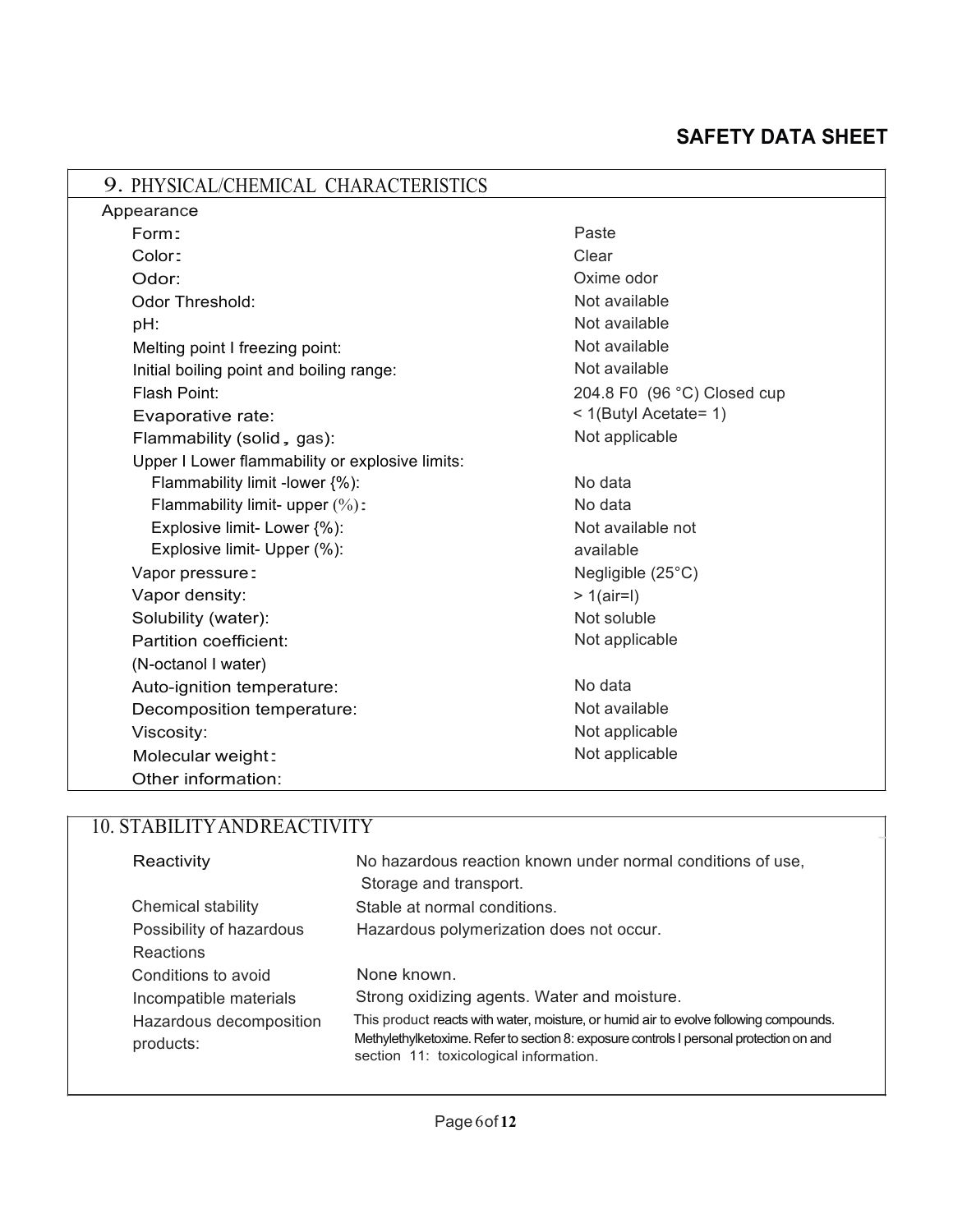| 9. PHYSICAL/CHEMICAL CHARACTERISTICS            |                             |
|-------------------------------------------------|-----------------------------|
| Appearance                                      |                             |
| Form:                                           | Paste                       |
| Color:                                          | Clear                       |
| Odor:                                           | Oxime odor                  |
| <b>Odor Threshold:</b>                          | Not available               |
| pH:                                             | Not available               |
| Melting point I freezing point:                 | Not available               |
| Initial boiling point and boiling range:        | Not available               |
| Flash Point:                                    | 204.8 F0 (96 °C) Closed cup |
| Evaporative rate:                               | < 1(Butyl Acetate= 1)       |
| Flammability (solid, gas):                      | Not applicable              |
| Upper I Lower flammability or explosive limits: |                             |
| Flammability limit -lower {%):                  | No data                     |
| Flammability limit- upper $(\%)$ :              | No data                     |
| Explosive limit- Lower {%):                     | Not available not           |
| Explosive limit- Upper (%):                     | available                   |
| Vapor pressure:                                 | Negligible $(25^{\circ}C)$  |
| Vapor density:                                  | $> 1$ (air=l)               |
| Solubility (water):                             | Not soluble                 |
| Partition coefficient:                          | Not applicable              |
| (N-octanol I water)                             |                             |
| Auto-ignition temperature:                      | No data                     |
| Decomposition temperature:                      | Not available               |
| Viscosity:                                      | Not applicable              |
| Molecular weight:                               | Not applicable              |
| Other information:                              |                             |

### - 10. STABILITYANDREACTIVITY

| Reactivity                           | No hazardous reaction known under normal conditions of use,<br>Storage and transport.                                                                                                                                      |
|--------------------------------------|----------------------------------------------------------------------------------------------------------------------------------------------------------------------------------------------------------------------------|
| Chemical stability                   | Stable at normal conditions.                                                                                                                                                                                               |
| Possibility of hazardous             | Hazardous polymerization does not occur.                                                                                                                                                                                   |
| <b>Reactions</b>                     |                                                                                                                                                                                                                            |
| Conditions to avoid                  | None known.                                                                                                                                                                                                                |
| Incompatible materials               | Strong oxidizing agents. Water and moisture.                                                                                                                                                                               |
| Hazardous decomposition<br>products: | This product reacts with water, moisture, or humid air to evolve following compounds.<br>Methylethylketoxime. Refer to section 8: exposure controls I personal protection on and<br>section 11: toxicological information. |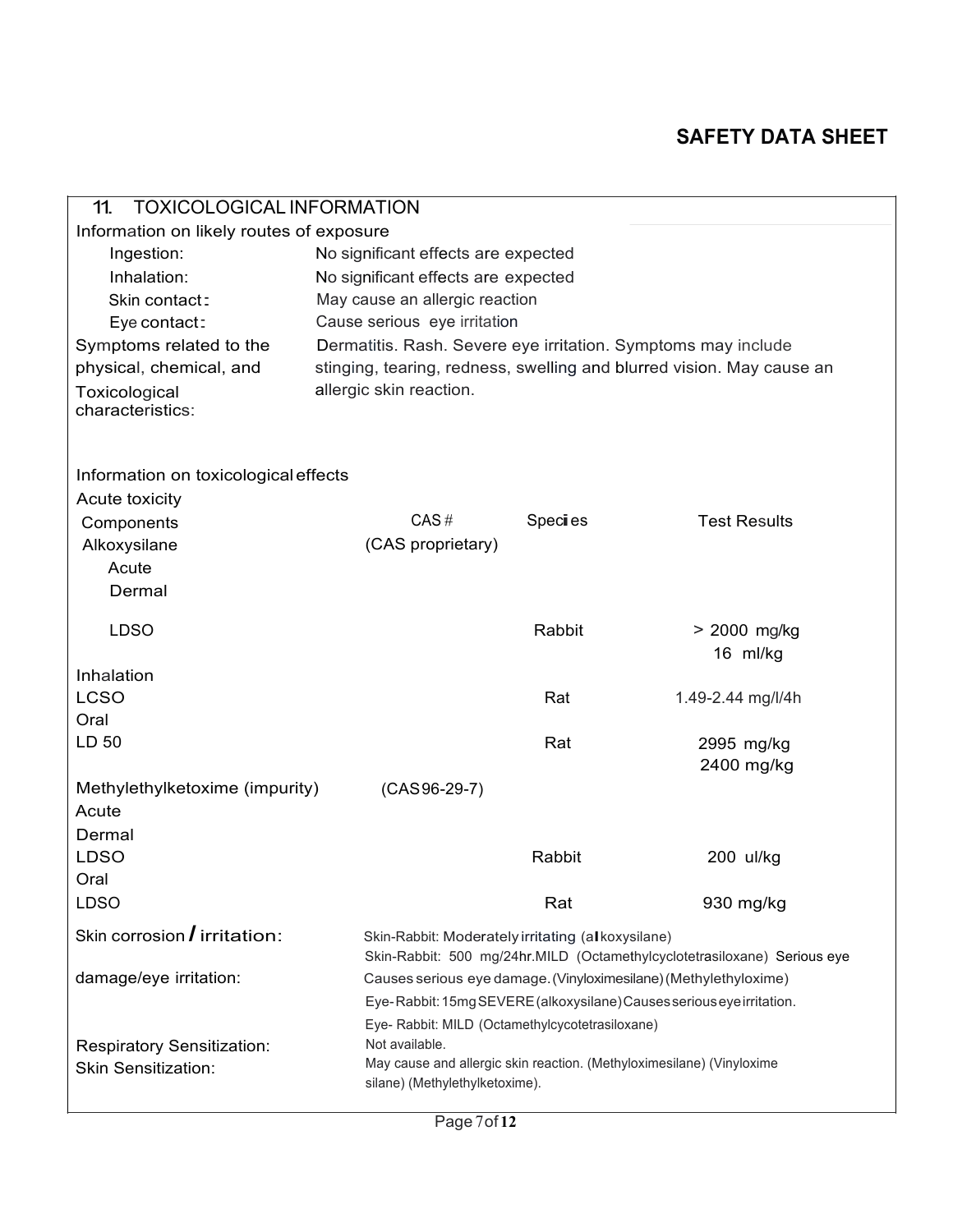| <b>TOXICOLOGICAL INFORMATION</b><br>11.   |                                                               |         |                                                                          |
|-------------------------------------------|---------------------------------------------------------------|---------|--------------------------------------------------------------------------|
| Information on likely routes of exposure  |                                                               |         |                                                                          |
| Ingestion:                                | No significant effects are expected                           |         |                                                                          |
| Inhalation:                               | No significant effects are expected                           |         |                                                                          |
| Skin contact:                             | May cause an allergic reaction                                |         |                                                                          |
| Eye contact:                              | Cause serious eye irritation                                  |         |                                                                          |
| Symptoms related to the                   | Dermatitis. Rash. Severe eye irritation. Symptoms may include |         |                                                                          |
| physical, chemical, and                   |                                                               |         | stinging, tearing, redness, swelling and blurred vision. May cause an    |
| Toxicological<br>characteristics:         | allergic skin reaction.                                       |         |                                                                          |
| Information on toxicological effects      |                                                               |         |                                                                          |
| Acute toxicity                            |                                                               |         |                                                                          |
| Components                                | CAS#                                                          | Species | <b>Test Results</b>                                                      |
| Alkoxysilane                              | (CAS proprietary)                                             |         |                                                                          |
| Acute                                     |                                                               |         |                                                                          |
| Dermal                                    |                                                               |         |                                                                          |
| <b>LDSO</b>                               |                                                               | Rabbit  | > 2000 mg/kg                                                             |
|                                           |                                                               |         | 16 ml/kg                                                                 |
| Inhalation                                |                                                               |         |                                                                          |
| <b>LCSO</b>                               |                                                               | Rat     | 1.49-2.44 mg/l/4h                                                        |
| Oral                                      |                                                               |         |                                                                          |
| LD 50                                     |                                                               | Rat     | 2995 mg/kg                                                               |
|                                           |                                                               |         | 2400 mg/kg                                                               |
| Methylethylketoxime (impurity)            | $(CAS 96-29-7)$                                               |         |                                                                          |
| Acute                                     |                                                               |         |                                                                          |
| Dermal                                    |                                                               |         |                                                                          |
| <b>LDSO</b>                               |                                                               | Rabbit  | 200 ul/kg                                                                |
| Oral                                      |                                                               |         |                                                                          |
| <b>LDSO</b>                               |                                                               | Rat     | 930 mg/kg                                                                |
| Skin corrosion $\overline{I}$ irritation: | Skin-Rabbit: Moderately irritating (alkoxysilane)             |         |                                                                          |
|                                           |                                                               |         | Skin-Rabbit: 500 mg/24hr.MILD (Octamethylcyclotetrasiloxane) Serious eye |
| damage/eye irritation:                    |                                                               |         | Causes serious eye damage. (Vinyloximesilane) (Methylethyloxime)         |
|                                           |                                                               |         | Eye-Rabbit: 15mg SEVERE (alkoxysilane) Causes serious eye irritation.    |
|                                           | Eye- Rabbit: MILD (Octamethylcycotetrasiloxane)               |         |                                                                          |
| Respiratory Sensitization:                | Not available.                                                |         | May cause and allergic skin reaction. (Methyloximesilane) (Vinyloxime    |
| <b>Skin Sensitization:</b>                | silane) (Methylethylketoxime).                                |         |                                                                          |
|                                           |                                                               |         |                                                                          |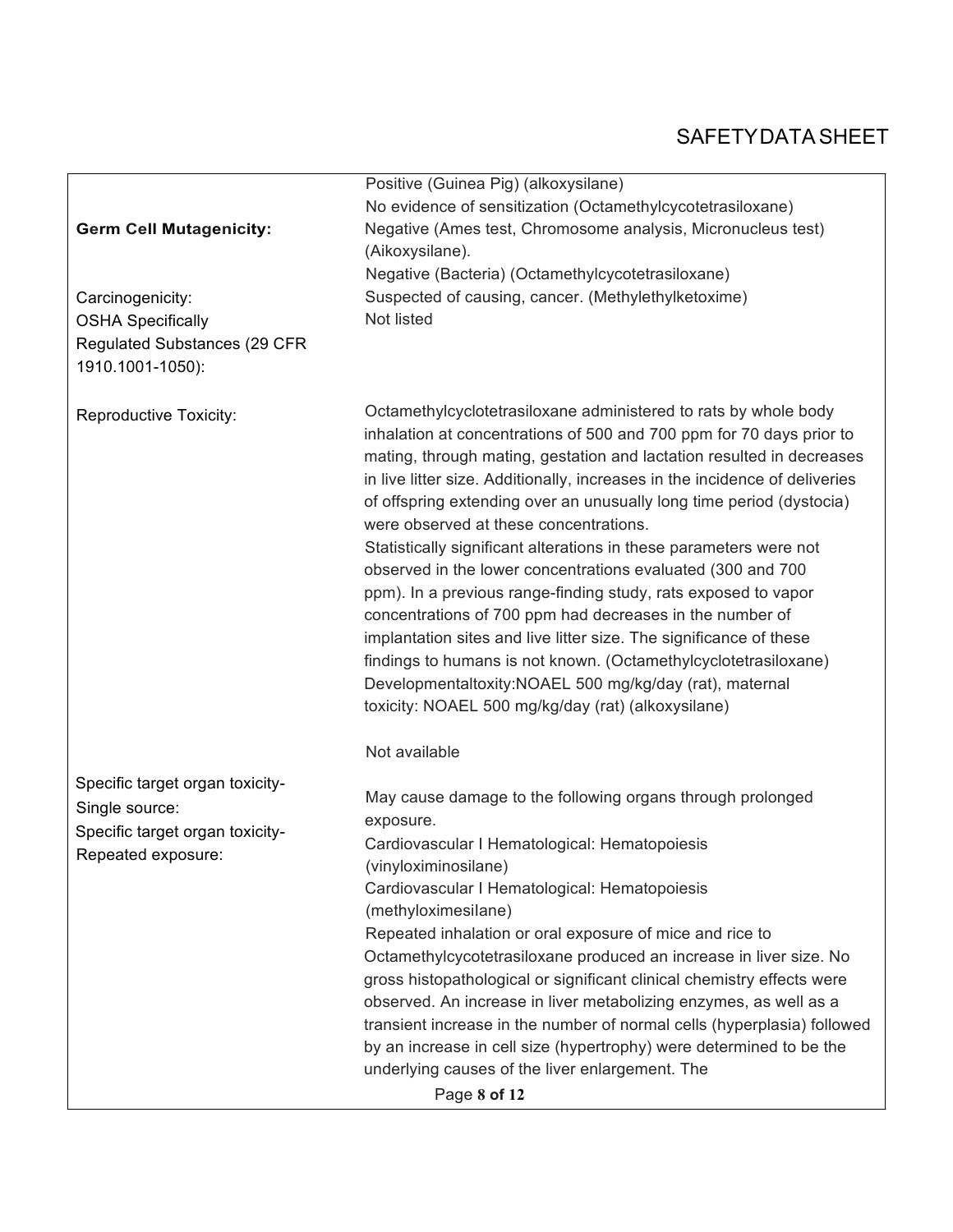|                                     | Positive (Guinea Pig) (alkoxysilane)                                        |
|-------------------------------------|-----------------------------------------------------------------------------|
|                                     | No evidence of sensitization (Octamethylcycotetrasiloxane)                  |
| <b>Germ Cell Mutagenicity:</b>      | Negative (Ames test, Chromosome analysis, Micronucleus test)                |
|                                     | (Aikoxysilane).                                                             |
|                                     | Negative (Bacteria) (Octamethylcycotetrasiloxane)                           |
|                                     | Suspected of causing, cancer. (Methylethylketoxime)                         |
| Carcinogenicity:                    |                                                                             |
| <b>OSHA Specifically</b>            | Not listed                                                                  |
| <b>Regulated Substances (29 CFR</b> |                                                                             |
| 1910.1001-1050):                    |                                                                             |
|                                     |                                                                             |
| Reproductive Toxicity:              | Octamethylcyclotetrasiloxane administered to rats by whole body             |
|                                     | inhalation at concentrations of 500 and 700 ppm for 70 days prior to        |
|                                     | mating, through mating, gestation and lactation resulted in decreases       |
|                                     | in live litter size. Additionally, increases in the incidence of deliveries |
|                                     | of offspring extending over an unusually long time period (dystocia)        |
|                                     | were observed at these concentrations.                                      |
|                                     | Statistically significant alterations in these parameters were not          |
|                                     | observed in the lower concentrations evaluated (300 and 700                 |
|                                     |                                                                             |
|                                     | ppm). In a previous range-finding study, rats exposed to vapor              |
|                                     | concentrations of 700 ppm had decreases in the number of                    |
|                                     | implantation sites and live litter size. The significance of these          |
|                                     | findings to humans is not known. (Octamethylcyclotetrasiloxane)             |
|                                     | Developmentaltoxity:NOAEL 500 mg/kg/day (rat), maternal                     |
|                                     | toxicity: NOAEL 500 mg/kg/day (rat) (alkoxysilane)                          |
|                                     |                                                                             |
|                                     | Not available                                                               |
|                                     |                                                                             |
| Specific target organ toxicity-     | May cause damage to the following organs through prolonged                  |
| Single source:                      | exposure.                                                                   |
| Specific target organ toxicity-     | Cardiovascular I Hematological: Hematopoiesis                               |
| Repeated exposure:                  | (vinyloximinosilane)                                                        |
|                                     | Cardiovascular I Hematological: Hematopoiesis                               |
|                                     | (methyloximesilane)                                                         |
|                                     | Repeated inhalation or oral exposure of mice and rice to                    |
|                                     |                                                                             |
|                                     | Octamethylcycotetrasiloxane produced an increase in liver size. No          |
|                                     | gross histopathological or significant clinical chemistry effects were      |
|                                     | observed. An increase in liver metabolizing enzymes, as well as a           |
|                                     | transient increase in the number of normal cells (hyperplasia) followed     |
|                                     | by an increase in cell size (hypertrophy) were determined to be the         |
|                                     | underlying causes of the liver enlargement. The                             |
|                                     | Page 8 of 12                                                                |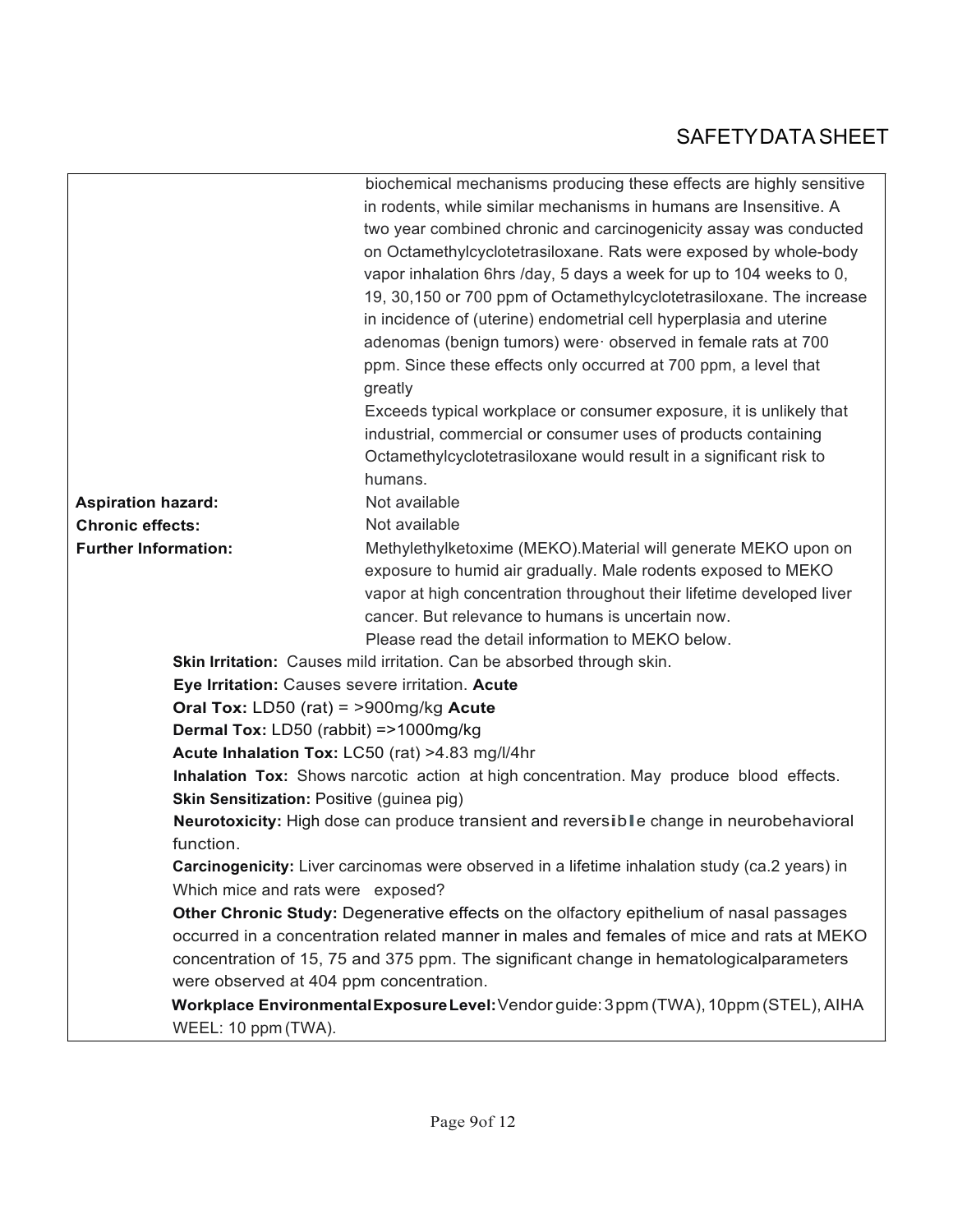|                                                                                          | biochemical mechanisms producing these effects are highly sensitive                            |  |  |  |
|------------------------------------------------------------------------------------------|------------------------------------------------------------------------------------------------|--|--|--|
|                                                                                          | in rodents, while similar mechanisms in humans are Insensitive. A                              |  |  |  |
|                                                                                          | two year combined chronic and carcinogenicity assay was conducted                              |  |  |  |
|                                                                                          | on Octamethylcyclotetrasiloxane. Rats were exposed by whole-body                               |  |  |  |
|                                                                                          | vapor inhalation 6hrs /day, 5 days a week for up to 104 weeks to 0,                            |  |  |  |
|                                                                                          | 19, 30, 150 or 700 ppm of Octamethylcyclotetrasiloxane. The increase                           |  |  |  |
|                                                                                          | in incidence of (uterine) endometrial cell hyperplasia and uterine                             |  |  |  |
|                                                                                          | adenomas (benign tumors) were observed in female rats at 700                                   |  |  |  |
|                                                                                          | ppm. Since these effects only occurred at 700 ppm, a level that                                |  |  |  |
|                                                                                          | greatly                                                                                        |  |  |  |
|                                                                                          | Exceeds typical workplace or consumer exposure, it is unlikely that                            |  |  |  |
|                                                                                          | industrial, commercial or consumer uses of products containing                                 |  |  |  |
|                                                                                          | Octamethylcyclotetrasiloxane would result in a significant risk to                             |  |  |  |
|                                                                                          | humans.                                                                                        |  |  |  |
| <b>Aspiration hazard:</b>                                                                | Not available                                                                                  |  |  |  |
| <b>Chronic effects:</b>                                                                  | Not available                                                                                  |  |  |  |
| <b>Further Information:</b>                                                              | Methylethylketoxime (MEKO). Material will generate MEKO upon on                                |  |  |  |
|                                                                                          | exposure to humid air gradually. Male rodents exposed to MEKO                                  |  |  |  |
|                                                                                          | vapor at high concentration throughout their lifetime developed liver                          |  |  |  |
|                                                                                          | cancer. But relevance to humans is uncertain now.                                              |  |  |  |
|                                                                                          | Please read the detail information to MEKO below.                                              |  |  |  |
| Skin Irritation: Causes mild irritation. Can be absorbed through skin.                   |                                                                                                |  |  |  |
| Eye Irritation: Causes severe irritation. Acute                                          |                                                                                                |  |  |  |
| Oral Tox: LD50 (rat) = $>900$ mg/kg Acute                                                |                                                                                                |  |  |  |
| Dermal Tox: LD50 (rabbit) =>1000mg/kg                                                    |                                                                                                |  |  |  |
| Acute Inhalation Tox: LC50 (rat) >4.83 mg/l/4hr                                          |                                                                                                |  |  |  |
|                                                                                          | Inhalation Tox: Shows narcotic action at high concentration. May produce blood effects.        |  |  |  |
| Skin Sensitization: Positive (guinea pig)                                                |                                                                                                |  |  |  |
|                                                                                          | Neurotoxicity: High dose can produce transient and reversible change in neurobehavioral        |  |  |  |
| function.                                                                                |                                                                                                |  |  |  |
|                                                                                          | Carcinogenicity: Liver carcinomas were observed in a lifetime inhalation study (ca.2 years) in |  |  |  |
| Which mice and rats were exposed?                                                        |                                                                                                |  |  |  |
| Other Chronic Study: Degenerative effects on the olfactory epithelium of nasal passages  |                                                                                                |  |  |  |
| occurred in a concentration related manner in males and females of mice and rats at MEKO |                                                                                                |  |  |  |
| concentration of 15, 75 and 375 ppm. The significant change in hematologicalparameters   |                                                                                                |  |  |  |
| were observed at 404 ppm concentration.                                                  |                                                                                                |  |  |  |
|                                                                                          | Workplace Environmental Exposure Level: Vendor guide: 3ppm (TWA), 10ppm (STEL), AIHA           |  |  |  |
| WEEL: 10 ppm (TWA).                                                                      |                                                                                                |  |  |  |
|                                                                                          |                                                                                                |  |  |  |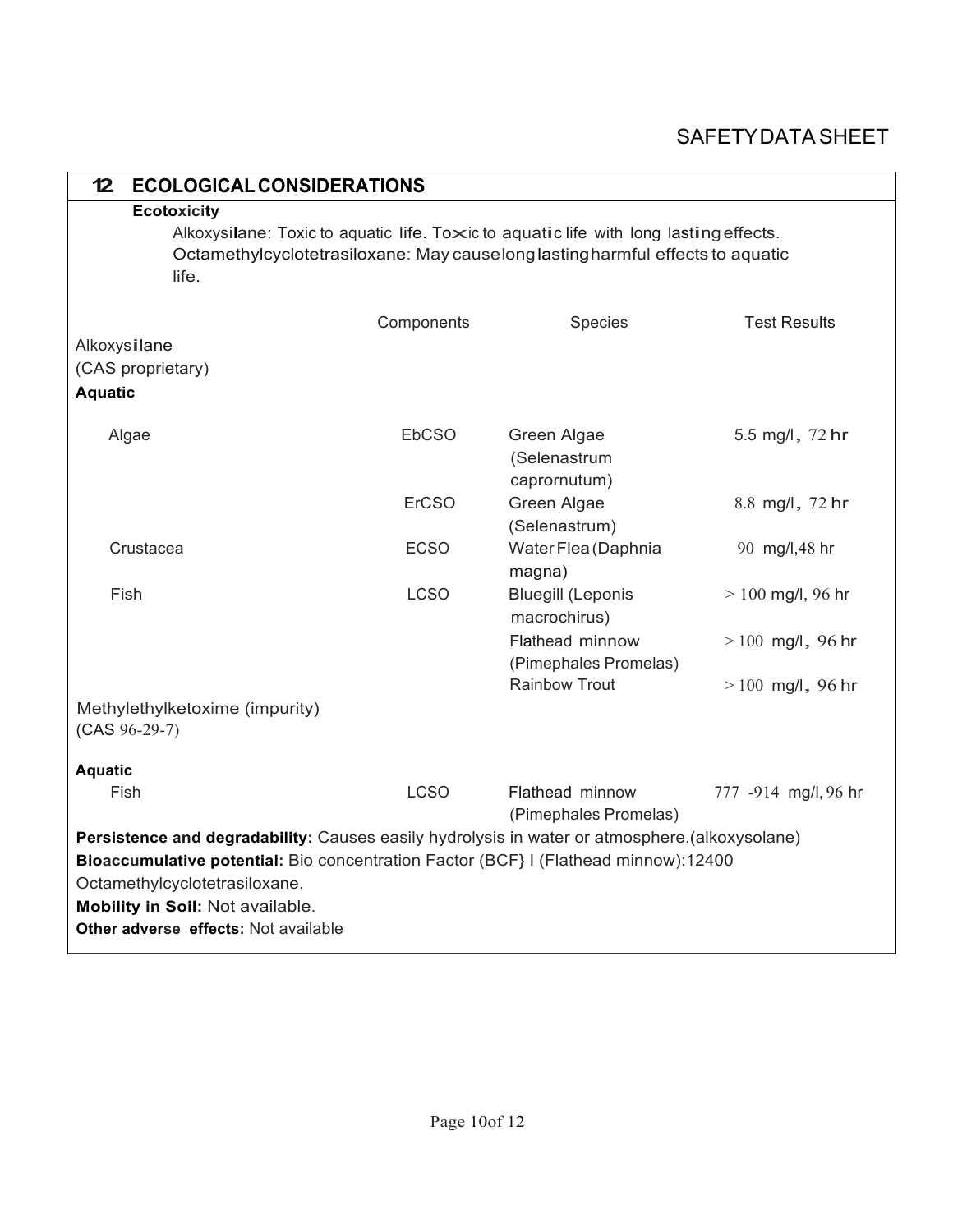| <b>ECOLOGICAL CONSIDERATIONS</b><br>12                                                                                                                                                                                                                                                            |              |                                             |                      |  |  |
|---------------------------------------------------------------------------------------------------------------------------------------------------------------------------------------------------------------------------------------------------------------------------------------------------|--------------|---------------------------------------------|----------------------|--|--|
| <b>Ecotoxicity</b><br>Alkoxysilane: Toxic to aquatic life. Toxic to aquatic life with long lasting effects.<br>Octamethylcyclotetrasiloxane: May causelong lasting harmful effects to aquatic                                                                                                     |              |                                             |                      |  |  |
| life.                                                                                                                                                                                                                                                                                             |              |                                             |                      |  |  |
|                                                                                                                                                                                                                                                                                                   | Components   | <b>Species</b>                              | <b>Test Results</b>  |  |  |
| Alkoxysilane                                                                                                                                                                                                                                                                                      |              |                                             |                      |  |  |
| (CAS proprietary)                                                                                                                                                                                                                                                                                 |              |                                             |                      |  |  |
| <b>Aquatic</b>                                                                                                                                                                                                                                                                                    |              |                                             |                      |  |  |
| Algae                                                                                                                                                                                                                                                                                             | EbCSO        | Green Algae<br>(Selenastrum<br>caprornutum) | 5.5 mg/l, 72 hr      |  |  |
|                                                                                                                                                                                                                                                                                                   | <b>ErCSO</b> | Green Algae<br>(Selenastrum)                | 8.8 mg/l, 72 hr      |  |  |
| Crustacea                                                                                                                                                                                                                                                                                         | <b>ECSO</b>  | Water Flea (Daphnia<br>magna)               | 90 mg/l,48 hr        |  |  |
| Fish                                                                                                                                                                                                                                                                                              | <b>LCSO</b>  | <b>Bluegill (Leponis</b><br>macrochirus)    | $> 100$ mg/l, 96 hr  |  |  |
|                                                                                                                                                                                                                                                                                                   |              | Flathead minnow<br>(Pimephales Promelas)    | $>100$ mg/l, 96 hr   |  |  |
|                                                                                                                                                                                                                                                                                                   |              | <b>Rainbow Trout</b>                        | $>100$ mg/l, 96 hr   |  |  |
| Methylethylketoxime (impurity)<br>$(CAS 96-29-7)$                                                                                                                                                                                                                                                 |              |                                             |                      |  |  |
| <b>Aquatic</b>                                                                                                                                                                                                                                                                                    |              |                                             |                      |  |  |
| Fish                                                                                                                                                                                                                                                                                              | <b>LCSO</b>  | Flathead minnow<br>(Pimephales Promelas)    | 777 -914 mg/l, 96 hr |  |  |
| Persistence and degradability: Causes easily hydrolysis in water or atmosphere.(alkoxysolane)<br>Bioaccumulative potential: Bio concentration Factor (BCF) I (Flathead minnow):12400<br>Octamethylcyclotetrasiloxane.<br>Mobility in Soil: Not available.<br>Other adverse effects: Not available |              |                                             |                      |  |  |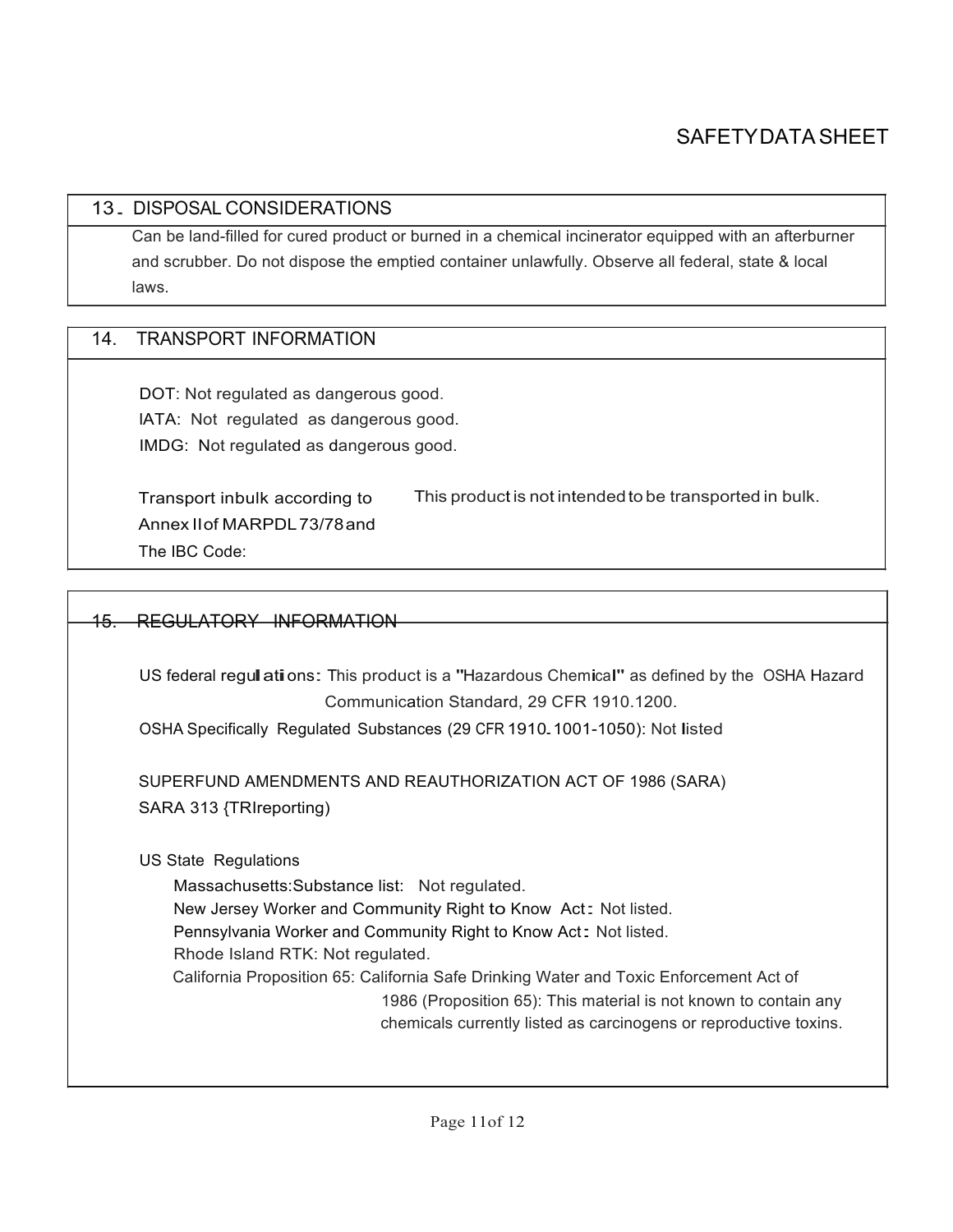#### 13. DISPOSAL CONSIDERATIONS

Can be land-filled for cured product or burned in a chemical incinerator equipped with an afterburner and scrubber. Do not dispose the emptied container unlawfully. Observe all federal, state & local laws.

#### 14. TRANSPORT INFORMATION

DOT: Not regulated as dangerous good. lATA: Not regulated as dangerous good. IMDG: Not regulated as dangerous good.

Transport inbulk according to Annex IIof MARPDL73/78and The IBC Code: This product is not intendedto be transported in bulk.

#### 15. REGULATORY INFORMATION

US federal regull ations: This product is a "Hazardous Chemical" as defined by the OSHA Hazard Communication Standard, 29 CFR 1910.1200.

OSHA Specifically Regulated Substances (29 CFR 1910.1001-1050): Not listed

SUPERFUND AMENDMENTS AND REAUTHORIZATION ACT OF 1986 (SARA) SARA 313 {TRIreporting)

US State Regulations

Massachusetts:Substance list: Not regulated. New Jersey Worker and Community Right to Know Act: Not listed. Pennsylvania Worker and Community Right to Know Act: Not listed. Rhode Island RTK: Not regulated. California Proposition 65: California Safe Drinking Water and Toxic Enforcement Act of 1986 (Proposition 65): This material is not known to contain any chemicals currently listed as carcinogens or reproductive toxins.